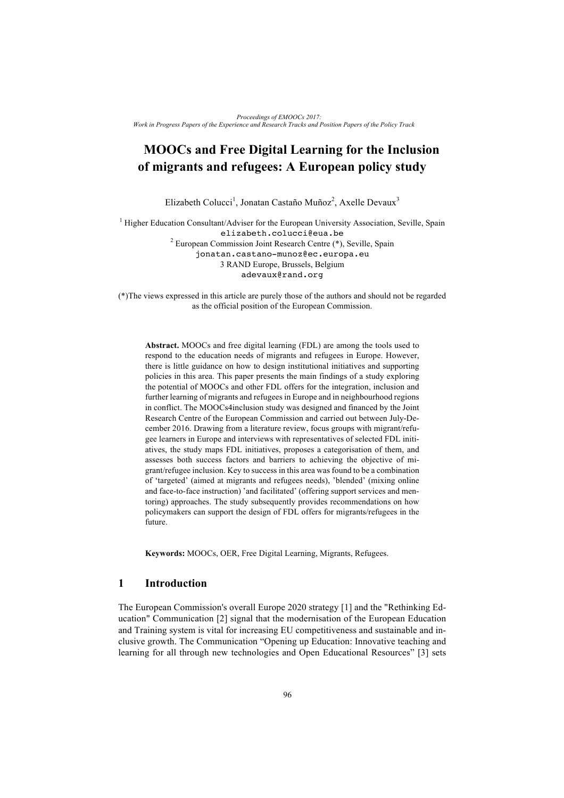# **MOOCs and Free Digital Learning for the Inclusion of migrants and refugees: A European policy study**

Elizabeth Colucci<sup>1</sup>, Jonatan Castaño Muñoz<sup>2</sup>, Axelle Devaux<sup>3</sup>

<sup>1</sup> Higher Education Consultant/Adviser for the European University Association, Seville, Spain elizabeth.colucci@eua.be <sup>2</sup> European Commission Joint Research Centre (\*), Seville, Spain jonatan.castano-munoz@ec.europa.eu 3 RAND Europe, Brussels, Belgium adevaux@rand.org

(\*)The views expressed in this article are purely those of the authors and should not be regarded as the official position of the European Commission.

**Abstract.** MOOCs and free digital learning (FDL) are among the tools used to respond to the education needs of migrants and refugees in Europe. However, there is little guidance on how to design institutional initiatives and supporting policies in this area. This paper presents the main findings of a study exploring the potential of MOOCs and other FDL offers for the integration, inclusion and further learning of migrants and refugees in Europe and in neighbourhood regions in conflict. The MOOCs4inclusion study was designed and financed by the Joint Research Centre of the European Commission and carried out between July-December 2016. Drawing from a literature review, focus groups with migrant/refugee learners in Europe and interviews with representatives of selected FDL initiatives, the study maps FDL initiatives, proposes a categorisation of them, and assesses both success factors and barriers to achieving the objective of migrant/refugee inclusion. Key to success in this area was found to be a combination of 'targeted' (aimed at migrants and refugees needs), 'blended' (mixing online and face-to-face instruction) 'and facilitated' (offering support services and mentoring) approaches. The study subsequently provides recommendations on how policymakers can support the design of FDL offers for migrants/refugees in the future.

**Keywords:** MOOCs, OER, Free Digital Learning, Migrants, Refugees.

## **1 Introduction**

The European Commission's overall Europe 2020 strategy [1] and the "Rethinking Education" Communication [2] signal that the modernisation of the European Education and Training system is vital for increasing EU competitiveness and sustainable and inclusive growth. The Communication "Opening up Education: Innovative teaching and learning for all through new technologies and Open Educational Resources" [3] sets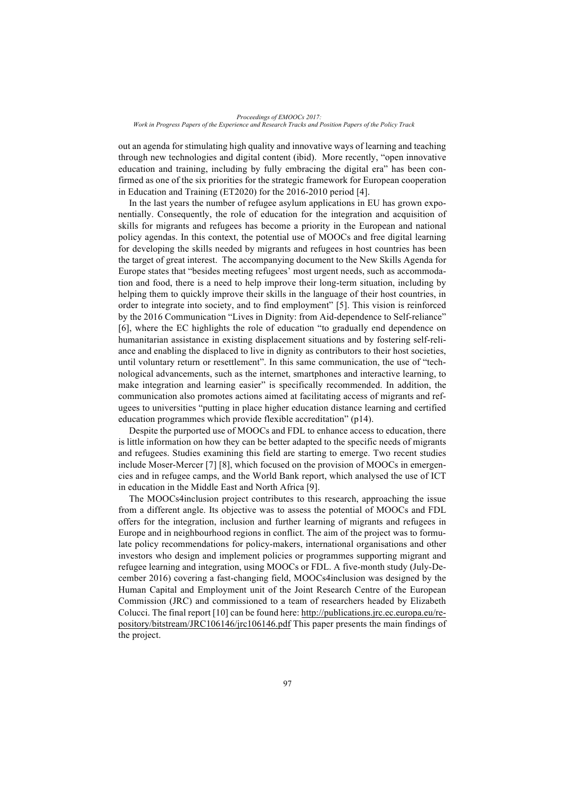out an agenda for stimulating high quality and innovative ways of learning and teaching through new technologies and digital content (ibid). More recently, "open innovative education and training, including by fully embracing the digital era" has been confirmed as one of the six priorities for the strategic framework for European cooperation in Education and Training (ET2020) for the 2016-2010 period [4].

In the last years the number of refugee asylum applications in EU has grown exponentially. Consequently, the role of education for the integration and acquisition of skills for migrants and refugees has become a priority in the European and national policy agendas. In this context, the potential use of MOOCs and free digital learning for developing the skills needed by migrants and refugees in host countries has been the target of great interest. The accompanying document to the New Skills Agenda for Europe states that "besides meeting refugees' most urgent needs, such as accommodation and food, there is a need to help improve their long-term situation, including by helping them to quickly improve their skills in the language of their host countries, in order to integrate into society, and to find employment" [5]. This vision is reinforced by the 2016 Communication "Lives in Dignity: from Aid-dependence to Self-reliance" [6], where the EC highlights the role of education "to gradually end dependence on humanitarian assistance in existing displacement situations and by fostering self-reliance and enabling the displaced to live in dignity as contributors to their host societies, until voluntary return or resettlement". In this same communication, the use of "technological advancements, such as the internet, smartphones and interactive learning, to make integration and learning easier" is specifically recommended. In addition, the communication also promotes actions aimed at facilitating access of migrants and refugees to universities "putting in place higher education distance learning and certified education programmes which provide flexible accreditation" (p14).

Despite the purported use of MOOCs and FDL to enhance access to education, there is little information on how they can be better adapted to the specific needs of migrants and refugees. Studies examining this field are starting to emerge. Two recent studies include Moser-Mercer [7] [8], which focused on the provision of MOOCs in emergencies and in refugee camps, and the World Bank report, which analysed the use of ICT in education in the Middle East and North Africa [9].

The MOOCs4inclusion project contributes to this research, approaching the issue from a different angle. Its objective was to assess the potential of MOOCs and FDL offers for the integration, inclusion and further learning of migrants and refugees in Europe and in neighbourhood regions in conflict. The aim of the project was to formulate policy recommendations for policy-makers, international organisations and other investors who design and implement policies or programmes supporting migrant and refugee learning and integration, using MOOCs or FDL. A five-month study (July-December 2016) covering a fast-changing field, MOOCs4inclusion was designed by the Human Capital and Employment unit of the Joint Research Centre of the European Commission (JRC) and commissioned to a team of researchers headed by Elizabeth Colucci. The final report [10] can be found here: http://publications.jrc.ec.europa.eu/repository/bitstream/JRC106146/jrc106146.pdf This paper presents the main findings of the project.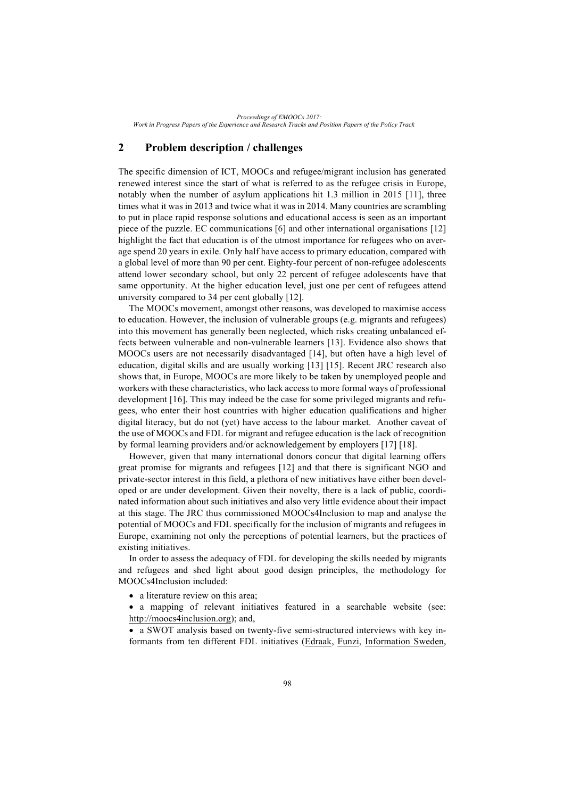## **2 Problem description / challenges**

The specific dimension of ICT, MOOCs and refugee/migrant inclusion has generated renewed interest since the start of what is referred to as the refugee crisis in Europe, notably when the number of asylum applications hit 1.3 million in 2015 [11], three times what it was in 2013 and twice what it was in 2014. Many countries are scrambling to put in place rapid response solutions and educational access is seen as an important piece of the puzzle. EC communications [6] and other international organisations [12] highlight the fact that education is of the utmost importance for refugees who on average spend 20 years in exile. Only half have access to primary education, compared with a global level of more than 90 per cent. Eighty-four percent of non-refugee adolescents attend lower secondary school, but only 22 percent of refugee adolescents have that same opportunity. At the higher education level, just one per cent of refugees attend university compared to 34 per cent globally [12].

The MOOCs movement, amongst other reasons, was developed to maximise access to education. However, the inclusion of vulnerable groups (e.g. migrants and refugees) into this movement has generally been neglected, which risks creating unbalanced effects between vulnerable and non-vulnerable learners [13]. Evidence also shows that MOOCs users are not necessarily disadvantaged [14], but often have a high level of education, digital skills and are usually working [13] [15]. Recent JRC research also shows that, in Europe, MOOCs are more likely to be taken by unemployed people and workers with these characteristics, who lack access to more formal ways of professional development [16]. This may indeed be the case for some privileged migrants and refugees, who enter their host countries with higher education qualifications and higher digital literacy, but do not (yet) have access to the labour market. Another caveat of the use of MOOCs and FDL for migrant and refugee education is the lack of recognition by formal learning providers and/or acknowledgement by employers [17] [18].

However, given that many international donors concur that digital learning offers great promise for migrants and refugees [12] and that there is significant NGO and private-sector interest in this field, a plethora of new initiatives have either been developed or are under development. Given their novelty, there is a lack of public, coordinated information about such initiatives and also very little evidence about their impact at this stage. The JRC thus commissioned MOOCs4Inclusion to map and analyse the potential of MOOCs and FDL specifically for the inclusion of migrants and refugees in Europe, examining not only the perceptions of potential learners, but the practices of existing initiatives.

In order to assess the adequacy of FDL for developing the skills needed by migrants and refugees and shed light about good design principles, the methodology for MOOCs4Inclusion included:

• a literature review on this area;

• a mapping of relevant initiatives featured in a searchable website (see: http://moocs4inclusion.org); and,

• a SWOT analysis based on twenty-five semi-structured interviews with key informants from ten different FDL initiatives (Edraak, Funzi, Information Sweden,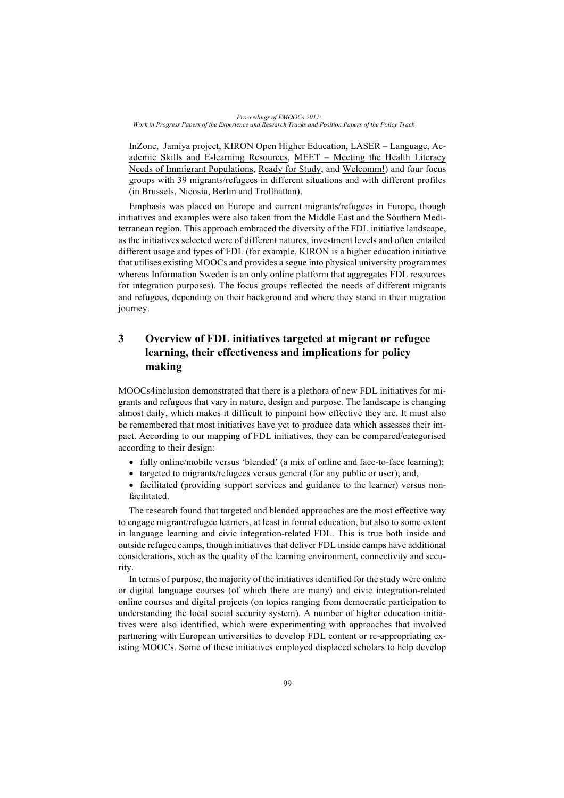InZone, Jamiya project, KIRON Open Higher Education, LASER – Language, Academic Skills and E-learning Resources, MEET – Meeting the Health Literacy Needs of Immigrant Populations, Ready for Study, and Welcomm!) and four focus groups with 39 migrants/refugees in different situations and with different profiles (in Brussels, Nicosia, Berlin and Trollhattan).

Emphasis was placed on Europe and current migrants/refugees in Europe, though initiatives and examples were also taken from the Middle East and the Southern Mediterranean region. This approach embraced the diversity of the FDL initiative landscape, as the initiatives selected were of different natures, investment levels and often entailed different usage and types of FDL (for example, KIRON is a higher education initiative that utilises existing MOOCs and provides a segue into physical university programmes whereas Information Sweden is an only online platform that aggregates FDL resources for integration purposes). The focus groups reflected the needs of different migrants and refugees, depending on their background and where they stand in their migration journey.

## **3 Overview of FDL initiatives targeted at migrant or refugee learning, their effectiveness and implications for policy making**

MOOCs4inclusion demonstrated that there is a plethora of new FDL initiatives for migrants and refugees that vary in nature, design and purpose. The landscape is changing almost daily, which makes it difficult to pinpoint how effective they are. It must also be remembered that most initiatives have yet to produce data which assesses their impact. According to our mapping of FDL initiatives, they can be compared/categorised according to their design:

- fully online/mobile versus 'blended' (a mix of online and face-to-face learning);
- targeted to migrants/refugees versus general (for any public or user); and,
- facilitated (providing support services and guidance to the learner) versus nonfacilitated.

The research found that targeted and blended approaches are the most effective way to engage migrant/refugee learners, at least in formal education, but also to some extent in language learning and civic integration-related FDL. This is true both inside and outside refugee camps, though initiatives that deliver FDL inside camps have additional considerations, such as the quality of the learning environment, connectivity and security.

In terms of purpose, the majority of the initiatives identified for the study were online or digital language courses (of which there are many) and civic integration-related online courses and digital projects (on topics ranging from democratic participation to understanding the local social security system). A number of higher education initiatives were also identified, which were experimenting with approaches that involved partnering with European universities to develop FDL content or re-appropriating existing MOOCs. Some of these initiatives employed displaced scholars to help develop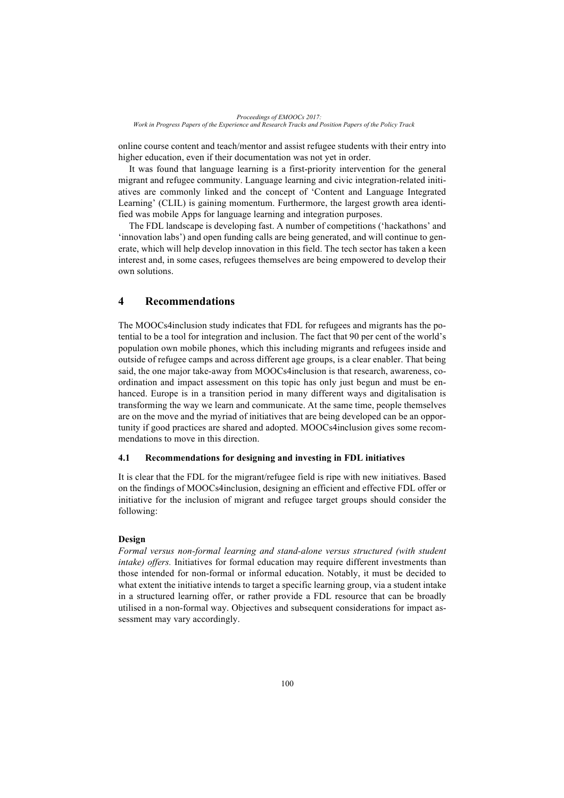online course content and teach/mentor and assist refugee students with their entry into higher education, even if their documentation was not yet in order.

It was found that language learning is a first-priority intervention for the general migrant and refugee community. Language learning and civic integration-related initiatives are commonly linked and the concept of 'Content and Language Integrated Learning' (CLIL) is gaining momentum. Furthermore, the largest growth area identified was mobile Apps for language learning and integration purposes.

The FDL landscape is developing fast. A number of competitions ('hackathons' and 'innovation labs') and open funding calls are being generated, and will continue to generate, which will help develop innovation in this field. The tech sector has taken a keen interest and, in some cases, refugees themselves are being empowered to develop their own solutions.

## **4 Recommendations**

The MOOCs4inclusion study indicates that FDL for refugees and migrants has the potential to be a tool for integration and inclusion. The fact that 90 per cent of the world's population own mobile phones, which this including migrants and refugees inside and outside of refugee camps and across different age groups, is a clear enabler. That being said, the one major take-away from MOOCs4inclusion is that research, awareness, coordination and impact assessment on this topic has only just begun and must be enhanced. Europe is in a transition period in many different ways and digitalisation is transforming the way we learn and communicate. At the same time, people themselves are on the move and the myriad of initiatives that are being developed can be an opportunity if good practices are shared and adopted. MOOCs4inclusion gives some recommendations to move in this direction.

#### **4.1 Recommendations for designing and investing in FDL initiatives**

It is clear that the FDL for the migrant/refugee field is ripe with new initiatives. Based on the findings of MOOCs4inclusion, designing an efficient and effective FDL offer or initiative for the inclusion of migrant and refugee target groups should consider the following:

#### **Design**

*Formal versus non-formal learning and stand-alone versus structured (with student intake) offers.* Initiatives for formal education may require different investments than those intended for non-formal or informal education. Notably, it must be decided to what extent the initiative intends to target a specific learning group, via a student intake in a structured learning offer, or rather provide a FDL resource that can be broadly utilised in a non-formal way. Objectives and subsequent considerations for impact assessment may vary accordingly.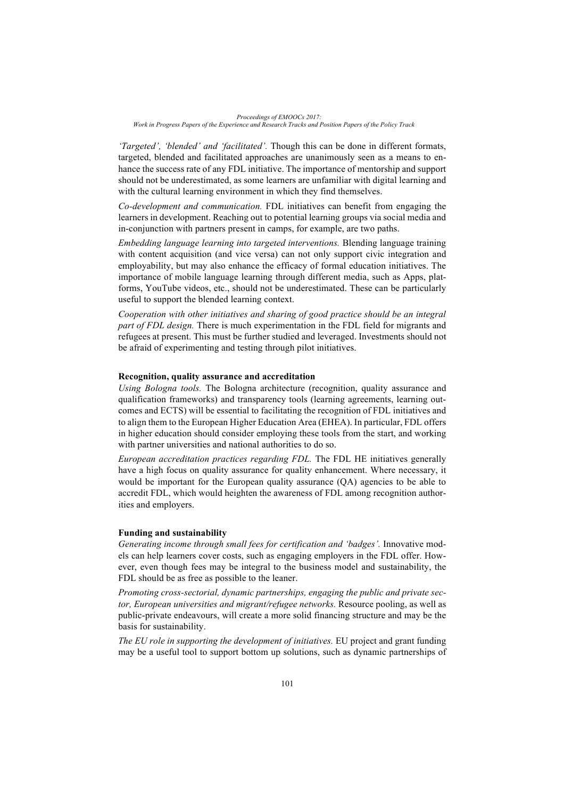*'Targeted', 'blended' and 'facilitated'.* Though this can be done in different formats, targeted, blended and facilitated approaches are unanimously seen as a means to enhance the success rate of any FDL initiative. The importance of mentorship and support should not be underestimated, as some learners are unfamiliar with digital learning and with the cultural learning environment in which they find themselves.

*Co-development and communication.* FDL initiatives can benefit from engaging the learners in development. Reaching out to potential learning groups via social media and in-conjunction with partners present in camps, for example, are two paths.

*Embedding language learning into targeted interventions.* Blending language training with content acquisition (and vice versa) can not only support civic integration and employability, but may also enhance the efficacy of formal education initiatives. The importance of mobile language learning through different media, such as Apps, platforms, YouTube videos, etc., should not be underestimated. These can be particularly useful to support the blended learning context.

*Cooperation with other initiatives and sharing of good practice should be an integral part of FDL design.* There is much experimentation in the FDL field for migrants and refugees at present. This must be further studied and leveraged. Investments should not be afraid of experimenting and testing through pilot initiatives.

#### **Recognition, quality assurance and accreditation**

*Using Bologna tools.* The Bologna architecture (recognition, quality assurance and qualification frameworks) and transparency tools (learning agreements, learning outcomes and ECTS) will be essential to facilitating the recognition of FDL initiatives and to align them to the European Higher Education Area (EHEA). In particular, FDL offers in higher education should consider employing these tools from the start, and working with partner universities and national authorities to do so.

*European accreditation practices regarding FDL.* The FDL HE initiatives generally have a high focus on quality assurance for quality enhancement. Where necessary, it would be important for the European quality assurance (QA) agencies to be able to accredit FDL, which would heighten the awareness of FDL among recognition authorities and employers.

#### **Funding and sustainability**

*Generating income through small fees for certification and 'badges'.* Innovative models can help learners cover costs, such as engaging employers in the FDL offer. However, even though fees may be integral to the business model and sustainability, the FDL should be as free as possible to the leaner.

*Promoting cross-sectorial, dynamic partnerships, engaging the public and private sector, European universities and migrant/refugee networks.* Resource pooling, as well as public-private endeavours, will create a more solid financing structure and may be the basis for sustainability.

*The EU role in supporting the development of initiatives.* EU project and grant funding may be a useful tool to support bottom up solutions, such as dynamic partnerships of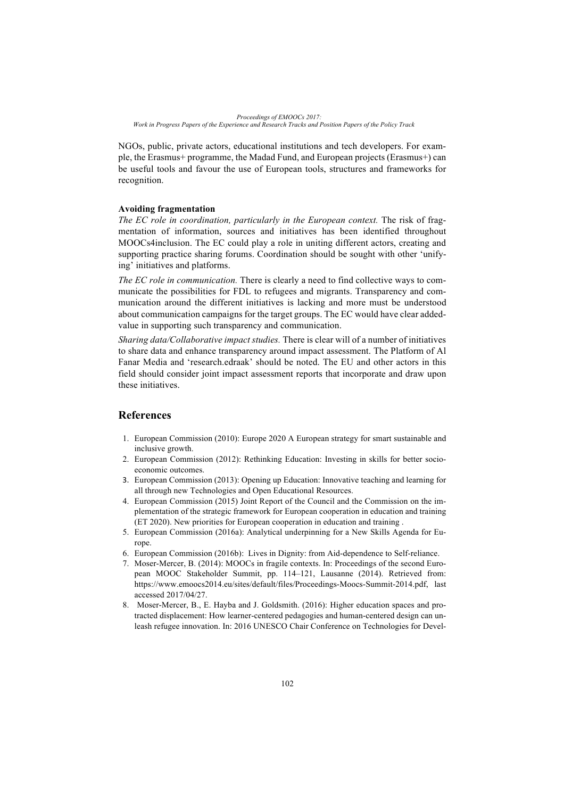NGOs, public, private actors, educational institutions and tech developers. For example, the Erasmus+ programme, the Madad Fund, and European projects (Erasmus+) can be useful tools and favour the use of European tools, structures and frameworks for recognition.

#### **Avoiding fragmentation**

*The EC role in coordination, particularly in the European context.* The risk of fragmentation of information, sources and initiatives has been identified throughout MOOCs4inclusion. The EC could play a role in uniting different actors, creating and supporting practice sharing forums. Coordination should be sought with other 'unifying' initiatives and platforms.

*The EC role in communication.* There is clearly a need to find collective ways to communicate the possibilities for FDL to refugees and migrants. Transparency and communication around the different initiatives is lacking and more must be understood about communication campaigns for the target groups. The EC would have clear addedvalue in supporting such transparency and communication.

*Sharing data/Collaborative impact studies.* There is clear will of a number of initiatives to share data and enhance transparency around impact assessment. The Platform of Al Fanar Media and 'research.edraak' should be noted. The EU and other actors in this field should consider joint impact assessment reports that incorporate and draw upon these initiatives.

## **References**

- 1. European Commission (2010): Europe 2020 A European strategy for smart sustainable and inclusive growth.
- 2. European Commission (2012): Rethinking Education: Investing in skills for better socioeconomic outcomes.
- 3. European Commission (2013): Opening up Education: Innovative teaching and learning for all through new Technologies and Open Educational Resources.
- 4. European Commission (2015) Joint Report of the Council and the Commission on the implementation of the strategic framework for European cooperation in education and training (ET 2020). New priorities for European cooperation in education and training .
- 5. European Commission (2016a): Analytical underpinning for a New Skills Agenda for Europe.
- 6. European Commission (2016b): Lives in Dignity: from Aid-dependence to Self-reliance.
- 7. Moser-Mercer, B. (2014): MOOCs in fragile contexts. In: Proceedings of the second European MOOC Stakeholder Summit, pp. 114–121, Lausanne (2014). Retrieved from: https://www.emoocs2014.eu/sites/default/files/Proceedings-Moocs-Summit-2014.pdf, last accessed 2017/04/27.
- 8. Moser-Mercer, B., E. Hayba and J. Goldsmith. (2016): Higher education spaces and protracted displacement: How learner-centered pedagogies and human-centered design can unleash refugee innovation. In: 2016 UNESCO Chair Conference on Technologies for Devel-